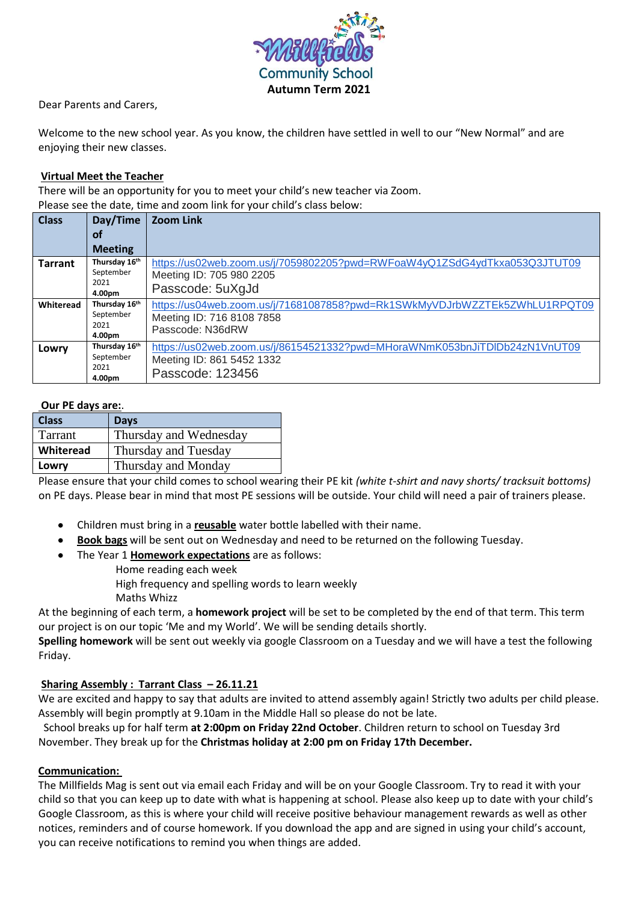

Dear Parents and Carers,

Welcome to the new school year. As you know, the children have settled in well to our "New Normal" and are enjoying their new classes.

## **Virtual Meet the Teacher**

There will be an opportunity for you to meet your child's new teacher via Zoom. Please see the date, time and zoom link for your child's class below:

| <b>Class</b>   | Day/Time       | <b>Zoom Link</b>                                                           |
|----------------|----------------|----------------------------------------------------------------------------|
|                | of             |                                                                            |
|                | <b>Meeting</b> |                                                                            |
| <b>Tarrant</b> | Thursday 16th  | https://us02web.zoom.us/j/7059802205?pwd=RWFoaW4yQ1ZSdG4ydTkxa053Q3JTUT09  |
|                | September      | Meeting ID: 705 980 2205                                                   |
|                | 2021           | Passcode: 5uXgJd                                                           |
|                | 4.00pm         |                                                                            |
| Whiteread      | Thursday 16th  | https://us04web.zoom.us/j/71681087858?pwd=Rk1SWkMyVDJrbWZZTEk5ZWhLU1RPQT09 |
|                | September      | Meeting ID: 716 8108 7858                                                  |
|                | 2021           | Passcode: N36dRW                                                           |
|                | 4.00pm         |                                                                            |
| Lowry          | Thursday 16th  | https://us02web.zoom.us/j/86154521332?pwd=MHoraWNmK053bnJiTDlDb24zN1VnUT09 |
|                | September      | Meeting ID: 861 5452 1332                                                  |
|                | 2021           | Passcode: 123456                                                           |
|                | 4.00pm         |                                                                            |

## **Our PE days are:**.

| <b>Class</b>     | <b>Days</b>            |
|------------------|------------------------|
| Tarrant          | Thursday and Wednesday |
| <b>Whiteread</b> | Thursday and Tuesday   |
| Lowry            | Thursday and Monday    |

Please ensure that your child comes to school wearing their PE kit *(white t-shirt and navy shorts/ tracksuit bottoms)* on PE days. Please bear in mind that most PE sessions will be outside. Your child will need a pair of trainers please.

- Children must bring in a **reusable** water bottle labelled with their name.
- **Book bags** will be sent out on Wednesday and need to be returned on the following Tuesday.
- The Year 1 **Homework expectations** are as follows:

Home reading each week

High frequency and spelling words to learn weekly Maths Whizz

At the beginning of each term, a **homework project** will be set to be completed by the end of that term. This term our project is on our topic 'Me and my World'. We will be sending details shortly.

**Spelling homework** will be sent out weekly via google Classroom on a Tuesday and we will have a test the following Friday.

## **Sharing Assembly : Tarrant Class – 26.11.21**

We are excited and happy to say that adults are invited to attend assembly again! Strictly two adults per child please. Assembly will begin promptly at 9.10am in the Middle Hall so please do not be late.

 School breaks up for half term **at 2:00pm on Friday 22nd October**. Children return to school on Tuesday 3rd November. They break up for the **Christmas holiday at 2:00 pm on Friday 17th December.**

## **Communication:**

The Millfields Mag is sent out via email each Friday and will be on your Google Classroom. Try to read it with your child so that you can keep up to date with what is happening at school. Please also keep up to date with your child's Google Classroom, as this is where your child will receive positive behaviour management rewards as well as other notices, reminders and of course homework. If you download the app and are signed in using your child's account, you can receive notifications to remind you when things are added.